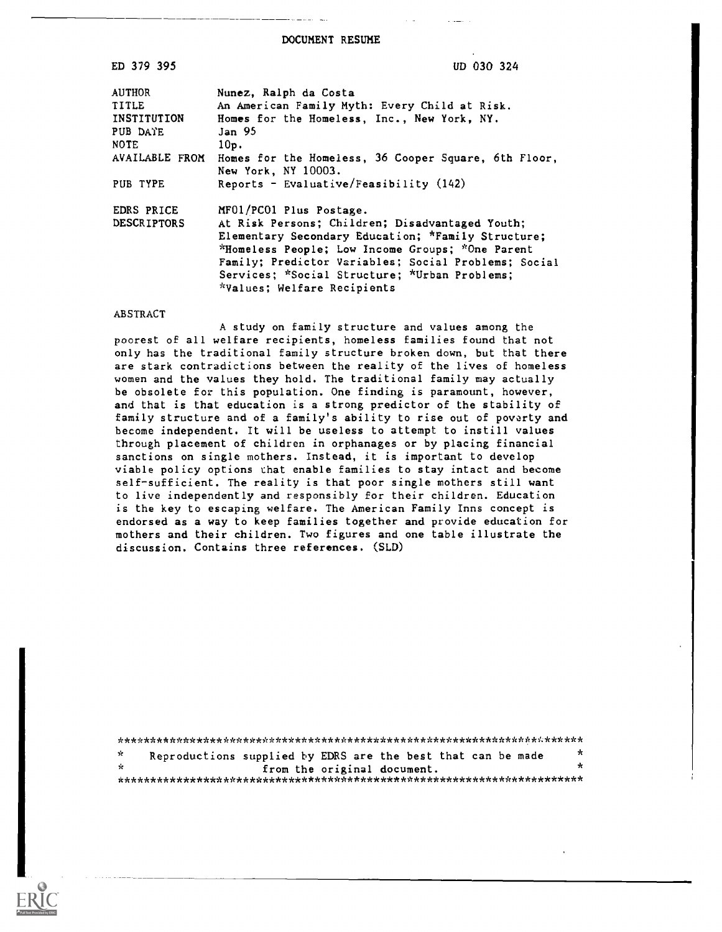DOCUMENT RESUME

UD 030 324

| ED |  | 379 | 395 |
|----|--|-----|-----|
|    |  |     |     |

| <b>AUTHOR</b>      | Nunez, Ralph da Costa                                                       |
|--------------------|-----------------------------------------------------------------------------|
| TITLE              | An American Family Myth: Every Child at Risk.                               |
| <b>INSTITUTION</b> | Homes for the Homeless, Inc., New York, NY.                                 |
| PUB DATE           | Jan 95                                                                      |
| NOTE               | 10p.                                                                        |
| AVAILABLE FROM     | Homes for the Homeless, 36 Cooper Square, 6th Floor,<br>New York. NY 10003. |
| <b>PUB TYPE</b>    | Reports - Evaluative/Feasibility $(142)$                                    |
| EDRS PRICE         | MF01/PC01 Plus Postage.                                                     |
| <b>DESCRIPTORS</b> | At Risk Persons; Children; Disadvantaged Youth;                             |
|                    | Elementary Secondary Education; *Family Structure;                          |
|                    | *Homeless People; Low Income Groups; *One Parent                            |
|                    | Family: Predictor Variables: Social Problems: Social                        |
|                    | Services; *Social Structure; *Urban Problems;                               |
|                    | *Values; Welfare Recipients                                                 |
|                    |                                                                             |

#### ABSTRACT

A study on family structure and values among the poorest of all welfare recipients, homeless families found that not only has the traditional family structure broken down, but that there are stark contradictions between the reality of the lives of homeless women and the values they hold. The traditional family may actually be obsolete for this population. One finding is paramount, however, and that is that education is a strong predictor of the stability of family structure and of a family's ability to rise out of poverty and become independent. It will be useless to attempt to instill values through placement of children in orphanages or by placing financial sanctions on single mothers. Instead, it is important to develop viable policy options that enable families to stay intact and become self-sufficient. The reality is that poor single mothers still want to live independently and responsibly for their children. Education is the key to escaping welfare. The American Family Inns concept is endorsed as a way to keep families together and provide education for mothers and their children. Two figures and one table illustrate the discussion. Contains three references. (SLD)

| - se           | Reproductions supplied by EDRS are the best that can be made |                             |  |  | $\star$      |
|----------------|--------------------------------------------------------------|-----------------------------|--|--|--------------|
| $\mathbb{R}^2$ |                                                              | from the original document. |  |  | $\mathbf{r}$ |
|                |                                                              |                             |  |  |              |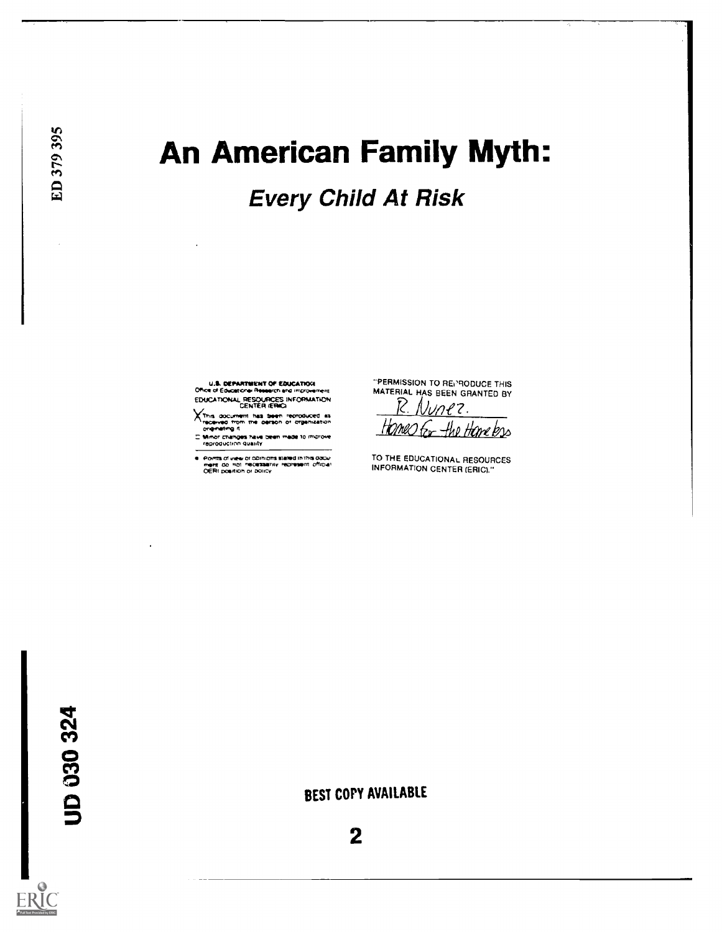# An American Family Myth:

**Every Child At Risk** 

U.S. DEPARTMENT OF EDUCATION EDUCATIONAL RESOURCES INFORMATION

XThis document has been reproduced as<br>received from the parson or drawnization<br>criginating it

-<br>Mimor changes have been made to improve

Pomts of view or comitors stated in this docu-<br>ment, do mot mecassarity represent official<br>OERI position or bolicy

"PERMISSION TO REPRODUCE THIS MATERIAL HAS BEEN GRANTED BY

Nunez. the Hane bas (MW

TO THE EDUCATIONAL RESOURCES INFORMATION CENTER (ERIC) "

UD 030 324

BEST COPY AVAILABLE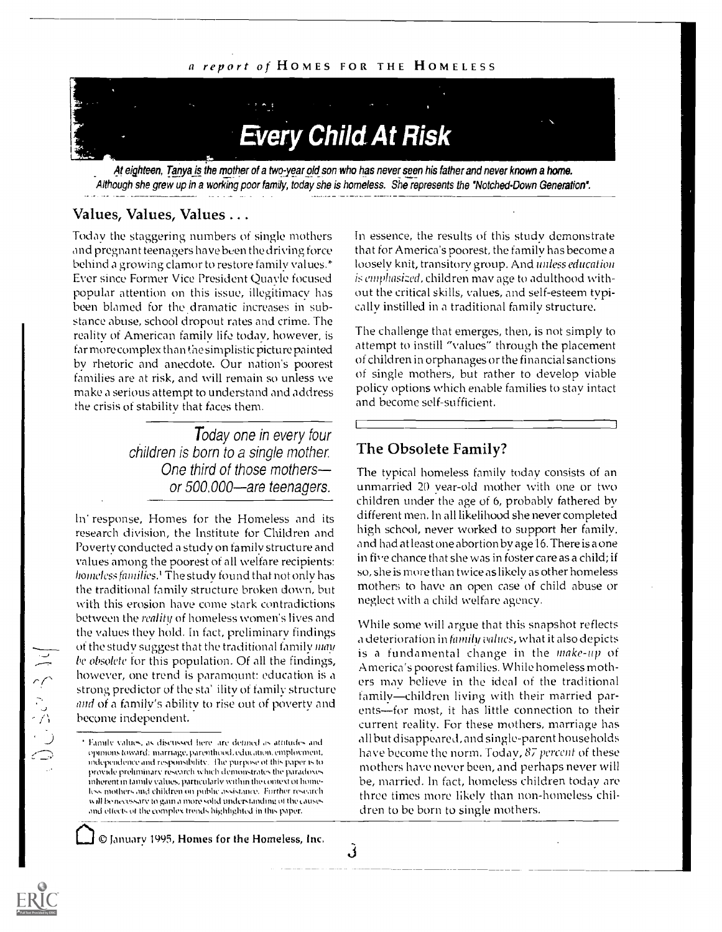#### a report of HOMES FOR THE HOMELESS



At eighteen, Tanya is the mother of a two-year old son who has never seen his father and never known a home. Although she grew up in a working poor family, today she is homeless. She represents the "Notched-Down Generation".

3

#### Values, Values, Values ...

Today the staggering numbers of single mothers and pregnant teenagers have been the driving force behind a growing clamor to restore family values.\* Ever since Former Vice President Quayle focused popular attention on this issue, illegitimacy has been blamed for the dramatic increases in substance abuse, school dropout rates and crime. The reality of American family life today, however, is tar more complex than the simplistic picture painted by rhetoric and anecdote. Our nation's poorest families are at risk, and will remain so unless we make a serious attempt to understand and address the crisis of stability that faces them.

> Today one in every four children is born to a single mother One third of those mothers or 500,000—are teenagers.

In response, Homes for the Homeless and its research division, the Institute for Children and Poverty conducted a study on family structure and values among the poorest of all welfare recipients: homeless families.' The study found that not only has the traditional family structure broken down, but with this erosion have come stark contradictions between the reality of homeless women's lives and the values they hold. In fact, preliminary findings of the study suggest that the traditional family man be obsolete for this population. Of all the findings, however, one trend is paramount: education is a strong predictor of the sta' ility of family structure and of a family's ability to rise out of poverty and become independent.

January 1995, Homes for the Homeless, Inc.

In essence, the results of this study demonstrate that for America's poorest, the family has become a loosely knit, transitory group. And unless education is emphasized, children may age to adulthood without the critical skills, values, and self-esteem typically instilled in a traditional family structure.

The challenge that emerges, then, is not simply to attempt to instill "values" through the placement of children in orphanages or the financial sanctions of single mothers, but rather to develop viable policy options which enable families to stay intact and become self-sufficient.

#### The Obsolete Family?

The typical homeless family today consists of an unmarried 20 year-old mother with one or two children under the age of 6, probably fathered by different men. In all likelihood she never completed high school, never worked to support her family, and had at least one abortion by age 16. There is a one in five chance that she was in foster care as a child; if so, she is more than twice as likely as other homeless mothers to have an open case of child abuse or neglect with a child welfare agency.

While some will argue that this snapshot reflects a deterioration in family values, what it also depicts is a fundamental change in the make-up of America's poorest families. While homeless mothers may believe in the ideal of the traditional family—children living with their married parents--for most, it has little connection to their current reality. For these mothers, marriage has all but disappeared, and single-parent households have become the norm. Today, 87 percent of these mothers have never been, and perhaps never will be, married. In fact, homeless children today are three times more likely than non-homeless children to be born to single mothers.

こうごう

Family values, as discussed here, are defined as attitudes and Opii11011S toward: marriage, parenthood, edu. anon, employment, independence and responsibility. The purpose of this paper is to provide preliminary research which dcmomtrates the paradoxes inherent in Lundy values, particularly within the ontext of homeless mothers and children on public assistance. Further research will be necessary to gain a more solid understanding of the causes and effects of the complex trends highlighted in this paper.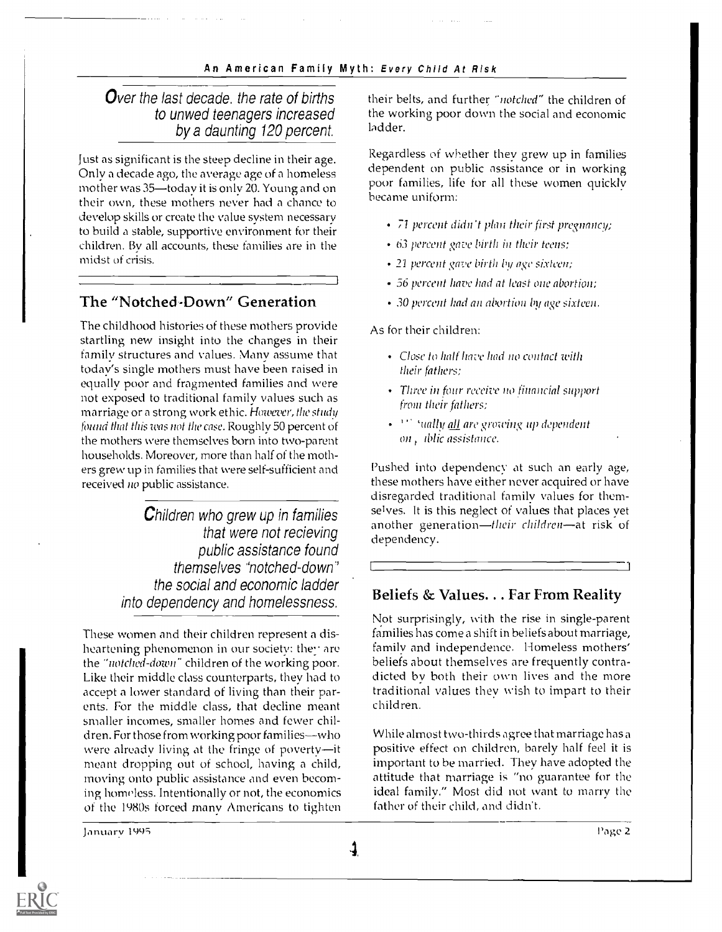### Over the last decade, the rate of births to unwed teenagers increased by a daunting 120 percent.

Just as significant is the steep decline in their age. Only a decade ago, the average age of a homeless mother was 35-today it is only 20. Young and on their own, these mothers never had a chance to develop skills or create the value system necessary to build a stable, supportive environment for their children. By all accounts, these families are in the midst of crisis.

## The "Notched-Down" Generation

The childhood histories of these mothers provide startling new insight into the changes in their family structures and values. Many assume that today's single mothers must have been raised in equally poor and fragmented families and were not exposed to traditional family values such as marriage or a strong work ethic. However, the study fauna that this was not the case. Roughly 50 percent of the mothers were themselves horn into two-parent households. Moreover, more than half of the mothers grew up in families that were self-sufficient and received no public assistance.

> Children who grew up in families that were not recieving public assistance found themselves "notched-down" the social and economic ladder into dependency and homelessness.

These women and their children represent a disheartening phenomenon in our society: they are the "notched-down" children of the working poor. Like their middle class counterparts, they had to accept a lower standard of living than their parents. For the middle class, that decline meant smaller incomes, smaller homes and fewer children. For those from working poor families--who were already living at the fringe of poverty-it meant dropping out of school, having a child, moving onto public assistance and even becoming homeless. Intentionally or not, the economics of the 1980s forced many Americans to tighten their belts, and further "notched" the children of the working poor down the social and economic ladder.

Regardless of whether they grew up in families dependent on public assistance or in working poor families, life for all these women quickly became uniform:

- 71 percent didn't plan their first pregnancy;
- 63 percent gave birth in their teens:
- 21 percent gave birth by age sixteen;
- 56 percent have had at least one abortion;
- 30 percent had an abortion by age sixteen.

As for their children:

- Close to half have had no contact with their fathers:
- Three in four receive no financial support from their fathers;
- \* <sup>111</sup> 'ually all are growing up dependent on, iblic assistance.

Pushed into dependency at such an early age, these mothers have either never acquired or have disregarded traditional family values for themselves. It is this neglect of values that places yet another generation—their children—at risk of dependency.

#### Beliefs & Values.. . Far From Reality

Not surprisingly, with the rise in single-parent families has come a shift in beliefs about marriage, family and independence. Homeless mothers' beliefs about themselves are frequently contradicted by both their own lives and the more traditional values they wish to impart to their children.

While almost two-thirds agree that marriage has a positive effect on children, barely half feel it is important to be married. They have adopted the attitude that marriage is "no guarantee for the ideal family." Most did not want to marry the father of their child, and didn't.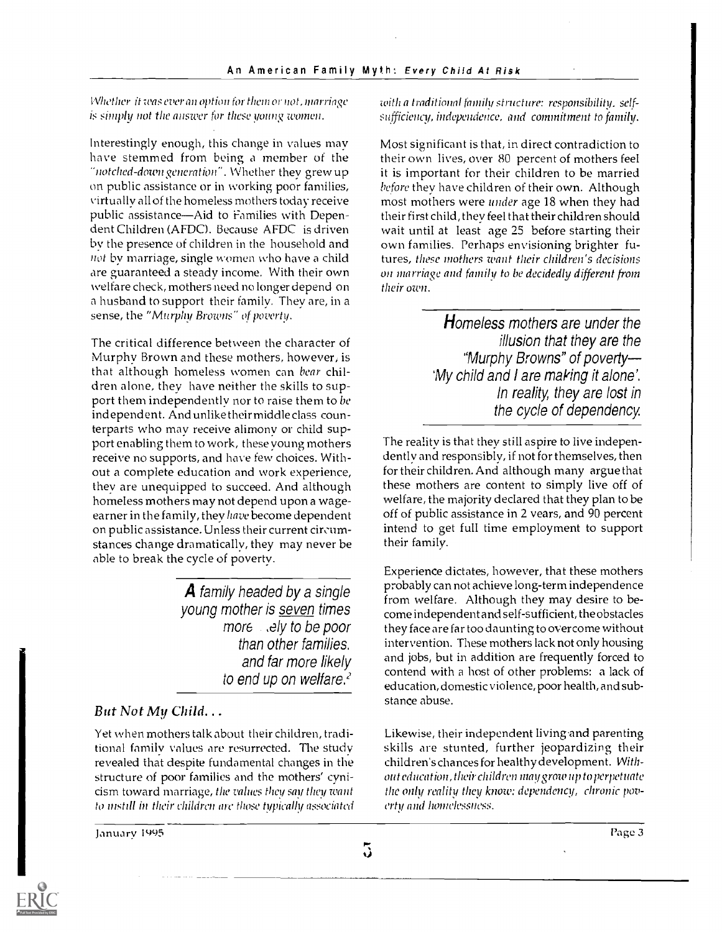Whether if was ever an option for them or not, marriage is simply not the answer for these young women.

Interestingly enough, this change in values may have stemmed from being a member of the "notched-down generation". Whether they grew up on public assistance or in working poor families, virtually all of the homeless mothers today receive public assistance-Aid to Families with Dependent Children (AFDC). Because AFDC is driven by the presence of children in the household and not by marriage, single women who have a child are guaranteed a steady income. With their own welfare check, mothers need no longer depend on a husband to support their family. They are, in a sense, the "Murphy Browns" of poverty.

The critical difference between the character of Murphy Brown and these mothers, however, is that although homeless women can bear children alone, they have neither the skills to support them independently nor to raise them to be independent. And unlike their middle class counterparts who may receive alimony or child support enabling them to work, these young mothers receive no supports, and have few choices. Without a complete education and work experience, they are unequipped to succeed. And although homeless mothers may not depend upon a wageearner in the family, they have become dependent on public assistance. Unless their current circumstances change dramatically, they may never be able to break the cycle of poverty.

> A family headed by a single young mother is seven times more sely to be poor than other families. and far more likely to end up on welfare.<sup>2</sup>

### But Not My Child.. .

Yet when mothers talk about their children, traditional family values are resurrected. The study revealed that despite fundamental changes in the structure of poor families and the mothers' cynicism toward marriage, the values they say they want to instill in their children arc' those typically associated

January 1495 Page 3

with a traditional family structure: responsibility. selfsufficiency, independence, and commitment to family.

Most significant is that, in direct contradiction to their own lives, over 80 percent of mothers feel it is important for their children to be married before they have children of their own. Although most mothers were under age 18 when they had their first child, they feel that their children should wait until at least age 25 before starting their own families. Perhaps envisioning brighter futures, these mothers want their children's decisions on marriage and family to be decidedly different from their own.

> **H**omeless mothers are under the illusion that they are the "Murphy Browns" of poverty 'My child and I are making it alone'. In reality, they are lost in the cycle of dependency.

The reality is that they still aspire to live independently and responsibly, if not for themselves, then for their children. And although many argue that these mothers are content to simply live off of welfare, the majority declared that they plan to be off of public assistance in 2 years, and 90 percent intend to get full time employment to support their family.

Experience dictates, however, that these mothers probably can not achieve long-term independence from welfare. Although they may desire to become independent and self-sufficient, the obstacles they face are far too daunting to overcome without intervention. These mothers lack not only housing and jobs, but in addition are frequently forced to contend with a host of other problems: a lack of education, domestic violence, poor health, and substance abuse.

Likewise, their independent living.and parenting skills are stunted, further jeopardizing their children's chances for healthy development. Without education, their children may grow up to perpetuate the only reality they know: dependency, chronic poverty and homelessness.



 $\tilde{3}$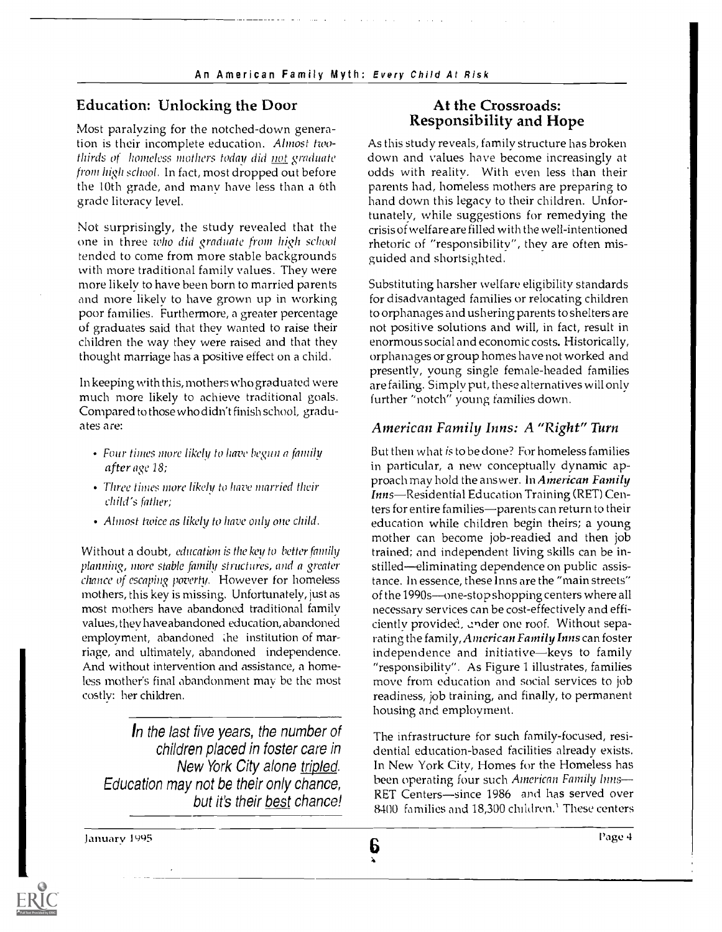#### Education: Unlocking the Door

Most paralyzing for the notched-down generation is their incomplete education. Almost twothirds of homeless mothers today did not graduate from high school. In fact, most dropped out before the 10th grade, and many have less than a 6th grade literacy level.

Not surprisingly, the study revealed that the one in three who did graduate from high school tended to come from more stable backgrounds with more traditional family values. They were more likely to have been born to married parents and more likely to have grown up in working poor families. Furthermore, a greater percentage of graduates said that they wanted to raise their children the way they were raised and that they thought marriage has a positive effect on a child.

In keeping with this, mothers who graduated were much more likely to achieve traditional goals. Compared to those who didn't finish school, graduates are:

- Four times more likely to have begun a family after age 18;
- Three times more likely to have married their child's father;
- Almost twice as likely to have only one child.

Without a doubt, education is the key to better family planning, more stable family structures, and a greater chance of escaping poverty. However for homeless mothers, this key is missing. Unfortunately, just as most mothers have abandoned traditional family values, they have abandoned education, abandoned employment, abandoned the institution of marriage, and ultimately, abandoned independence. And without intervention and assistance, a homeless mother's final abandonment may be the most costly: her children.

In the last five years, the number of children placed in foster care in New York City alone tripled. Education may not be their only chance, but it's their best chance!

#### At the Crossroads: Responsibility and Hope

As this study reveals, family structure has broken down and values have become increasingly at odds with reality. With even less than their parents had, homeless mothers are preparing to hand down this legacy to their children. Unfortunately, while suggestions for remedying the crisis of welfare are filled with the well-intentioned rhetoric of "responsibility", they are often misguided and shortsighted.

Substituting harsher welfare eligibility standards for disadvantaged families or relocating children to orphanages and ushering parents to shelters are not positive solutions and will, in fact, result in enormous social and economic costs. Historically, orphanages or group homes have not worked and presently, young single female-headed families are failing. Simply put, these alternatives will only further "notch" young families down.

#### American Family Inns: A "Right" Turn

But then what is to be done? For homeless families in particular, a new conceptually dynamic approach may hold the answer. In American Family Inns-Residential Education Training (RET) Centers for entire families-parents can return to their education while children begin theirs; a young mother can become job-readied and then job trained; and independent living skills can be instilled-eliminating dependence on public assistance. In essence, these Inns are the "main streets" of the  $1990s$ --one-stop shopping centers where all necessary services can be cost-effectively and efficiently provided, under one roof. Without separating the family, American Family Inns can foster independence and initiative-keys to family "responsibility". As Figure 1 illustrates, families move from education and social services to job readiness, job training, and finally, to permanent housing and employment.

The infrastructure for such family-focused, residential education-based facilities already exists. In New York City, Homes for the Homeless has been operating four such American Family Inns-RET Centers-since 1986 and has served over 8400 families and 18,300 children.' These centers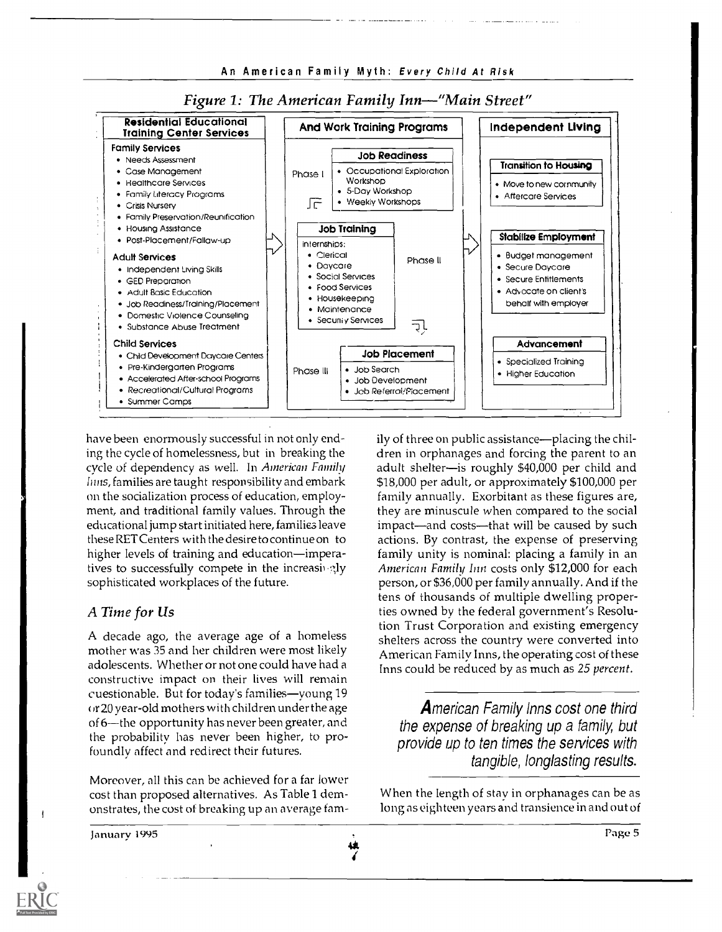

#### Figure 1: The American Family Inn—"Main Street"

have been enormously successful in not only ending the cycle of homelessness, but in breaking the cycle of dependency as well. In American Family Inns, families are taught responsibility and embark on the socialization process of education, employment, and traditional family values. Through the educational jump start initiated here, families leave these RETCenters with the desire to continue on to higher levels of training and education-imperatives to successfully compete in the increasingly sophisticated workplaces of the future.

#### A Time for Us

A decade ago, the average age of a homeless mother was 35 and her children were most likely adolescents. Whether or not one could have had a constructive impact on their lives will remain cuestionable. But for today's families-young 19 or 20 year-old mothers with children under the age of 6-the opportunity has never been greater, and the probability has never been higher, to profoundly affect and redirect their futures.

Moreover, all this can be achieved for a far lower cost than proposed alternatives. As Table 1 demonstrates, the cost of breaking up an average tamily of three on public assistance—placing the children in orphanages and forcing the parent to an adult shelter-is roughly \$40,000 per child and \$18,000 per adult, or approximately \$100,000 per family annually. Exorbitant as these figures are, they are minuscule when compared to the social impact—and costs—that will be caused by such actions. By contrast, the expense of preserving family unity is nominal: placing a family in an American Family Inn costs only \$12,000 for each person, or \$36,000 per family annually. And if the tens of thousands of multiple dwelling properties owned by the federal government's Resolution Trust Corporation and existing emergency shelters across the country were converted into American Family Inns, the operating cost of these Inns could be reduced by as much as 25 percent.

American Family Inns cost one third the expense of breaking up a family, but provide up to ten times the services with tangible, longlasting results.

When the length of stay in orphanages can be as long as eighteen years and transience in and out of

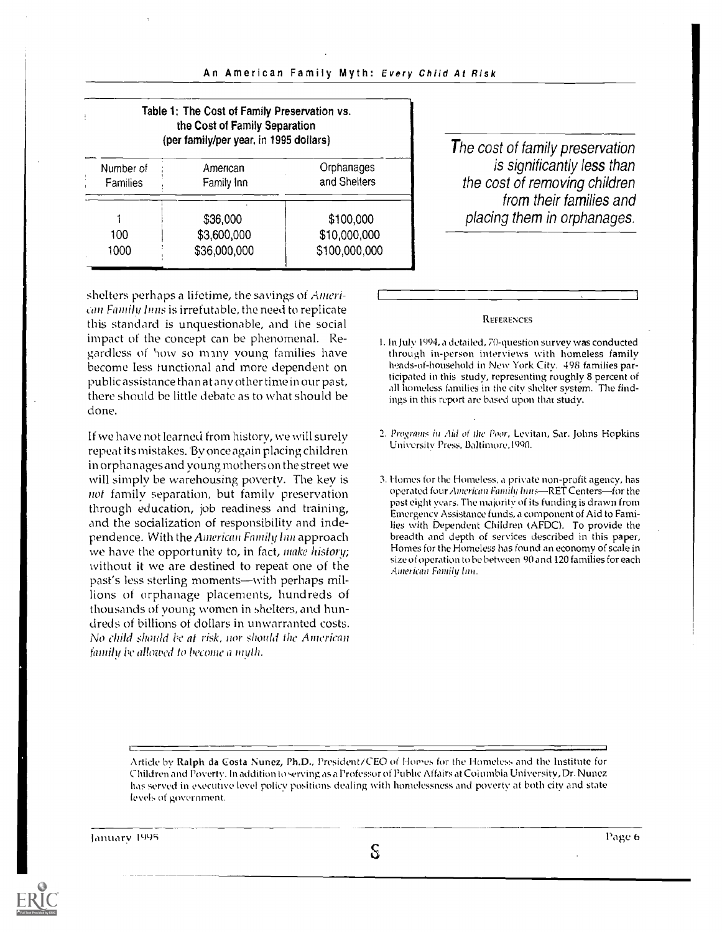| Table 1: The Cost of Family Preservation vs.<br>the Cost of Family Separation<br>(per family/per year, in 1995 dollars) |                                         |                                            |  |
|-------------------------------------------------------------------------------------------------------------------------|-----------------------------------------|--------------------------------------------|--|
| Number of<br>Families                                                                                                   | American<br>Family Inn                  | Orphanages<br>and Shelters                 |  |
| 100<br>1000                                                                                                             | \$36,000<br>\$3,600,000<br>\$36,000,000 | \$100,000<br>\$10,000,000<br>\$100,000,000 |  |

The cost of family preservation is significantly less than the cost of removing children from their families and placing them in orphanages.

shelters perhaps a lifetime, the savings of American Family Inns is irrefutable, the need to replicate this standard is unquestionable, and the social impact of the concept can be phenomenal. Regardless of how so many young families have become less functional and more dependent on public assistance than at any other time in our past, there should be little debate as to what should be done.

If we have not learned from history, we will surely repeat its mistakes. By once again placing children in orphanages and young mothers on the street we will simply be warehousing poverty. The key is not family separation, but family preservation through education, job readiness and training, and the socialization of responsibility and independence. With the American Family Inn approach we have the opportunity to, in fact, make history; without it we are destined to repeat one of the past's less sterling moments—with perhaps millions of orphanage placements, hundreds of thousands of young women in shelters, and hundreds of billions of dollars in unwarranted costs. No child should be at risk, nor should the American family be allowed to become a myth.

#### **REFERENCES**

- 1.1n July 1094, a detailed, 70-question survey was conducted through in-person interviews with homeless family heads -of- household in New York City. 498 families participated in this study, representing roughly 8 percent of all homeless families in the city shelter system. The findings in this report are based upon that study.
- 2. Programs in Aid of the Poor, Levitan, Sar. Johns Hopkins University Press, Baltimore,1090.
- 3. Homes for the Homeless, a private non-profit agency, has operated four American Family hms-RET Centers-for the past eight years. The majority of its funding is drawn from Emergency Assistance funds, a component of Aid to Families with Dependent Children (AFDC). To provide the breadth and depth of services described in this paper, Homes for the Homeless has found an economy of scale in size of operation to be between 90 and 120 families for each American Family Inn.

Article by Ralph da costa Nunez, Ph.D., President/CEO of Homes for the Homeless and the Institute for Children and Poverty. In addition to serving as a Professor of Public Affairs at Columbia University, Dr. Nunez has served in e ecutive level policy positions dealing with homelessness and poverty at both city and state levels of government.

January 1995 – Page 6 ( $\mathbb{S}$  ) and  $\mathbb{S}$  (  $\mathbb{S}$  ) and  $\mathbb{S}$  ) and  $\mathbb{S}$  (  $\mathbb{S}$  ) and  $\mathbb{S}$  (  $\mathbb{S}$  ) and  $\mathbb{S}$  (  $\mathbb{S}$  ) and  $\mathbb{S}$  (  $\mathbb{S}$  ) and  $\mathbb{S}$  (  $\mathbb{S}$  ) and  $\mathbb{S}$  (

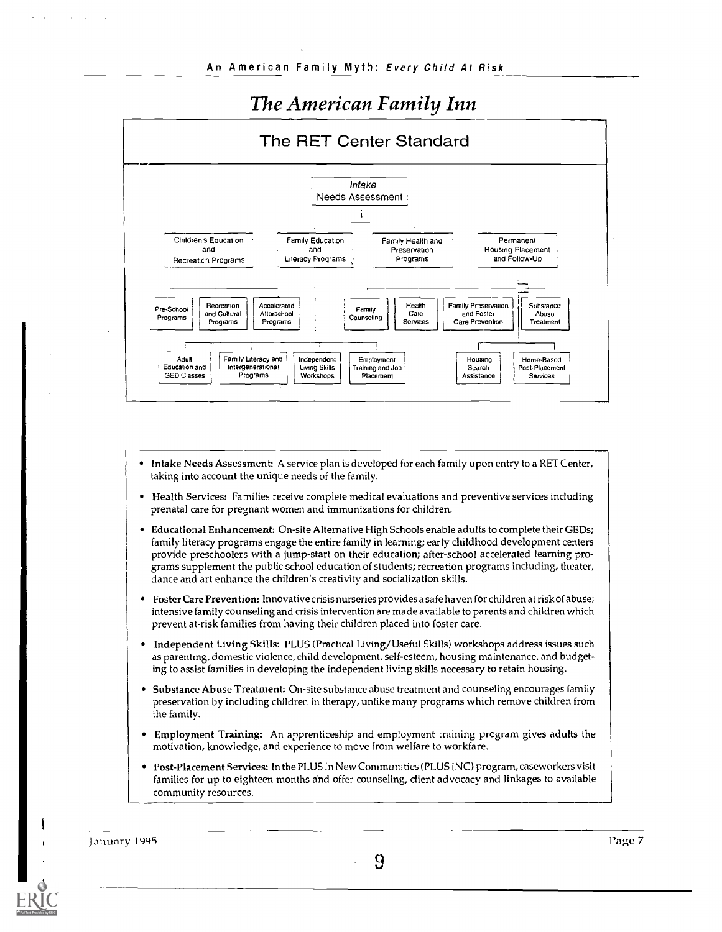## The American Family Inn



- Intake Needs Assessment: A service plan is developed for each family upon entry to a RET Center, taking into account the unique needs of the family.
- Health Services: Families receive complete medical evaluations and preventive services including prenatal care for pregnant women and immunizations for children.
- Educational Enhancement: On-site Alternative High Schools enable adults to complete their GEDs; family literacy programs engage the entire family in learning; early childhood development centers provide preschoolers with a jump-start on their education; after-school accelerated learning programs supplement the public school education of students; recreation programs including, theater, dance and art enhance the children's creativity and socialization skills.
- Foster Care Prevention: Innovative crisis nurseries provides a safe haven for children at risk of abuse; intensive family counseling and crisis intervention are made available to parents and children which prevent at-risk families from having their children placed into foster care.
- Independent Living Skills: PLUS (Practical Living/ Useful Skills) workshops address issues such as parenting, domestic violence, child development, self-esteem, housing maintenance, and budgeting to assist families in developing the independent living skills necessary to retain housing.
- Substance Abuse Treatment: On-site substance abuse treatment and counseling encourages family preservation by including children in therapy, unlike many programs which remove children from the family.
- Employment Training: An apprenticeship and employment training program gives adults the motivation, knowledge, and experience to move from welfare to workfare.
- Post-Placement Services: In the PLUS In New Communities (PLUS INC) program, caseworkers visit families for up to eighteen months and offer counseling, client advocacy and linkages to available community resources.

January 1995 Page 7